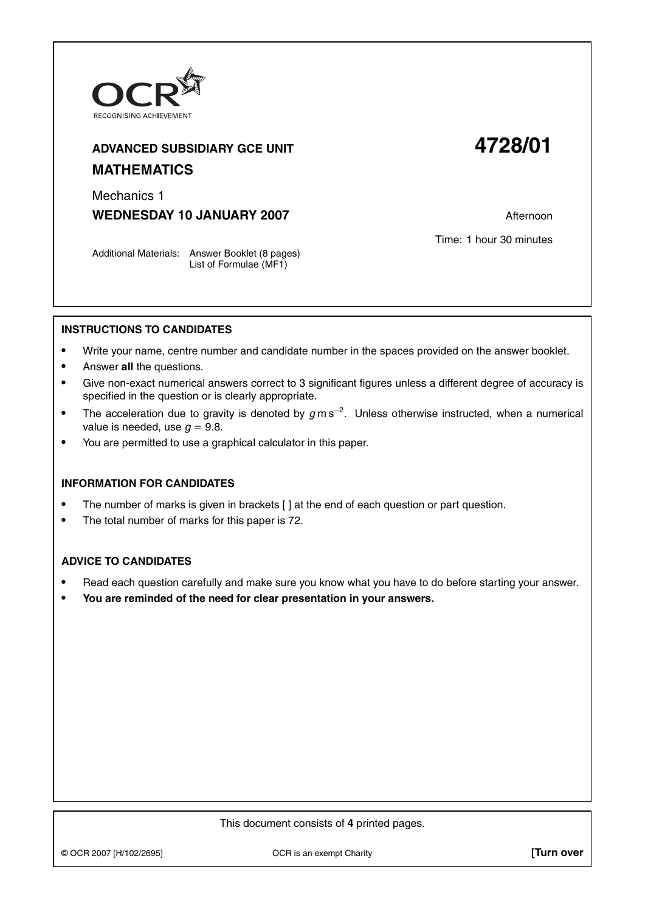

# **ADVANCED SUBSIDIARY GCE UNIT 4728/01 MATHEMATICS**

Mechanics 1

**WEDNESDAY 10 JANUARY 2007** Afternoon

Time: 1 hour 30 minutes

Additional Materials: Answer Booklet (8 pages) List of Formulae (MF1)

## **INSTRUCTIONS TO CANDIDATES**

- **•** Write your name, centre number and candidate number in the spaces provided on the answer booklet.
- **•** Answer **all** the questions.
- **•** Give non-exact numerical answers correct to 3 significant figures unless a different degree of accuracy is specified in the question or is clearly appropriate.
- **•** The acceleration due to gravity is denoted by <sup>g</sup> m s−<sup>2</sup> . Unless otherwise instructed, when a numerical value is needed, use  $g = 9.8$ .
- **•** You are permitted to use a graphical calculator in this paper.

## **INFORMATION FOR CANDIDATES**

- The number of marks is given in brackets  $\lceil \cdot \rceil$  at the end of each question or part question.
- **•** The total number of marks for this paper is 72.

## **ADVICE TO CANDIDATES**

- **•** Read each question carefully and make sure you know what you have to do before starting your answer.
- **• You are reminded of the need for clear presentation in your answers.**

#### This document consists of **4** printed pages.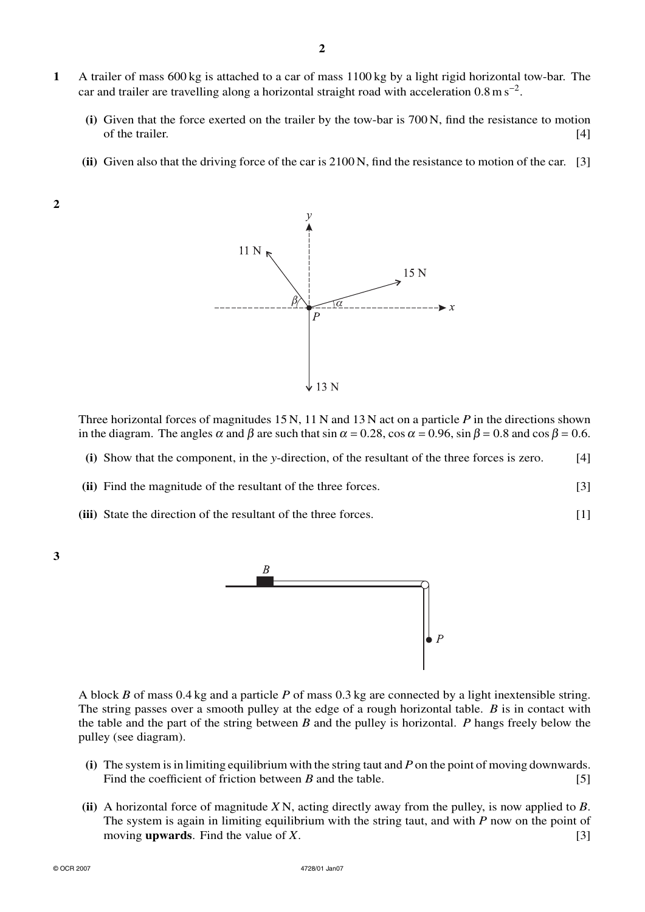- **1** A trailer of mass 600 kg is attached to a car of mass 1100 kg by a light rigid horizontal tow-bar. The car and trailer are travelling along a horizontal straight road with acceleration  $0.8 \text{ m s}^{-2}$ .
	- **(i)** Given that the force exerted on the trailer by the tow-bar is 700 N, find the resistance to motion of the trailer.  $[4]$
	- **(ii)** Given also that the driving force of the car is 2100 N, find the resistance to motion of the car. [3]

**2**

**3**



Three horizontal forces of magnitudes 15 N, 11 N and 13 N act on a particle *P* in the directions shown in the diagram. The angles  $\alpha$  and  $\beta$  are such that sin  $\alpha = 0.28$ , cos  $\alpha = 0.96$ , sin  $\beta = 0.8$  and cos  $\beta = 0.6$ .

- **(i)** Show that the component, in the *y*-direction, of the resultant of the three forces is zero. [4]
- **(ii)** Find the magnitude of the resultant of the three forces. [3]
- **(iii)** State the direction of the resultant of the three forces. [1]



A block *B* of mass 0.4 kg and a particle *P* of mass 0.3 kg are connected by a light inextensible string. The string passes over a smooth pulley at the edge of a rough horizontal table. *B* is in contact with the table and the part of the string between *B* and the pulley is horizontal. *P* hangs freely below the pulley (see diagram).

- **(i)** The system is in limiting equilibrium with the string taut and *P* on the point of moving downwards. Find the coefficient of friction between *B* and the table. [5]
- **(ii)** A horizontal force of magnitude *X* N, acting directly away from the pulley, is now applied to *B*. The system is again in limiting equilibrium with the string taut, and with *P* now on the point of moving **upwards**. Find the value of *X*. [3]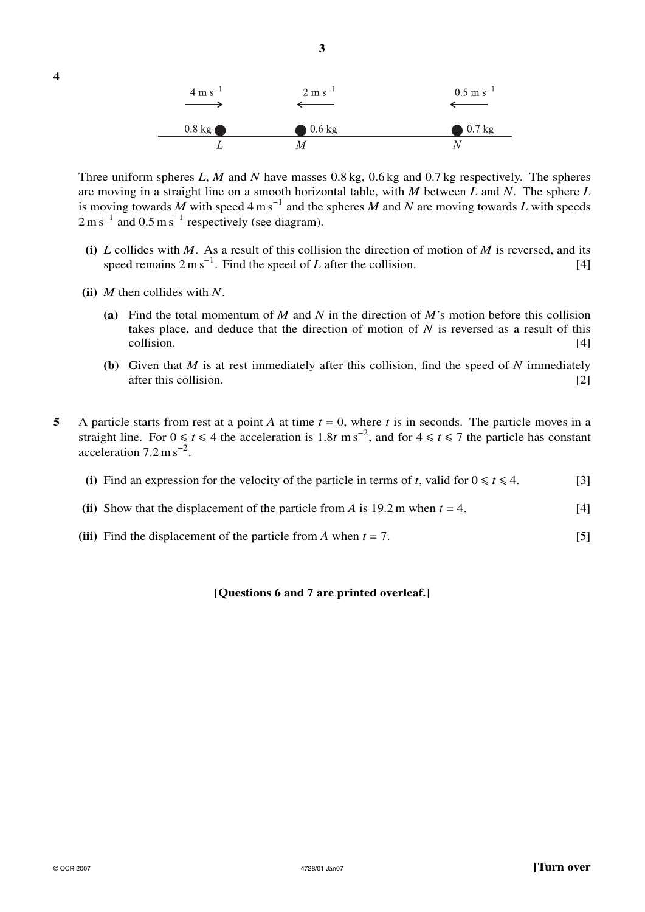

Three uniform spheres *L*, *M* and *N* have masses 0.8 kg, 0.6 kg and 0.7 kg respectively. The spheres are moving in a straight line on a smooth horizontal table, with *M* between *L* and *N*. The sphere *L* is moving towards  $\overline{M}$  with speed 4 m s<sup>−1</sup> and the spheres  $\overline{M}$  and  $\overline{N}$  are moving towards  $\overline{L}$  with speeds  $2 \text{ m s}^{-1}$  and  $0.5 \text{ m s}^{-1}$  respectively (see diagram).

- **(i)** *L* collides with *M*. As a result of this collision the direction of motion of *M* is reversed, and its speed remains  $2 \text{ m s}^{-1}$ . Find the speed of *L* after the collision. [4]
- **(ii)** *M* then collides with *N*.

**4**

- **(a)** Find the total momentum of *M* and *N* in the direction of *M*'s motion before this collision takes place, and deduce that the direction of motion of *N* is reversed as a result of this collision. [4]
- **(b)** Given that *M* is at rest immediately after this collision, find the speed of *N* immediately after this collision. [2] a state of the state of the state of the state of the state of the state of the state of the state of the state of the state of the state of the state of the state of the state of the state of the
- **5** A particle starts from rest at a point A at time  $t = 0$ , where t is in seconds. The particle moves in a straight line. For  $0 \le t \le 4$  the acceleration is 1.8*t* m s<sup>-2</sup>, and for  $4 \le t \le 7$  the particle has constant acceleration  $7.2 \text{ m s}^{-2}$ .
	- (i) Find an expression for the velocity of the particle in terms of *t*, valid for  $0 \le t \le 4$ . [3]
	- **(ii)** Show that the displacement of the particle from *A* is 19.2 m when  $t = 4$ . [4]
	- **(iii)** Find the displacement of the particle from *A* when  $t = 7$ . [5]

#### **[Questions 6 and 7 are printed overleaf.]**